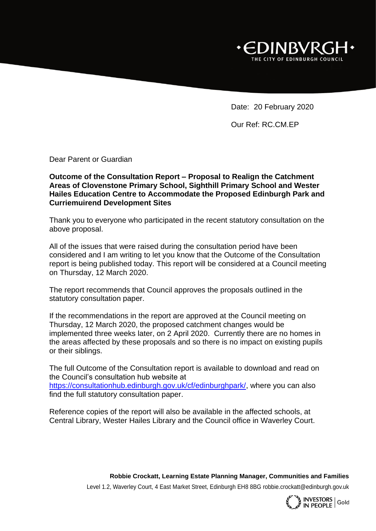

Date: 20 February 2020

Our Ref: RC.CM.EP

Dear Parent or Guardian

**Outcome of the Consultation Report – Proposal to Realign the Catchment Areas of Clovenstone Primary School, Sighthill Primary School and Wester Hailes Education Centre to Accommodate the Proposed Edinburgh Park and Curriemuirend Development Sites**

Thank you to everyone who participated in the recent statutory consultation on the above proposal.

All of the issues that were raised during the consultation period have been considered and I am writing to let you know that the Outcome of the Consultation report is being published today. This report will be considered at a Council meeting on Thursday, 12 March 2020.

The report recommends that Council approves the proposals outlined in the statutory consultation paper.

If the recommendations in the report are approved at the Council meeting on Thursday, 12 March 2020, the proposed catchment changes would be implemented three weeks later, on 2 April 2020. Currently there are no homes in the areas affected by these proposals and so there is no impact on existing pupils or their siblings.

The full Outcome of the Consultation report is available to download and read on the Council's consultation hub website at [https://consultationhub.edinburgh.gov.uk/cf/edinburghpark/,](https://consultationhub.edinburgh.gov.uk/cf/edinburghpark/) where you can also find the full statutory consultation paper.

Reference copies of the report will also be available in the affected schools, at Central Library, Wester Hailes Library and the Council office in Waverley Court.